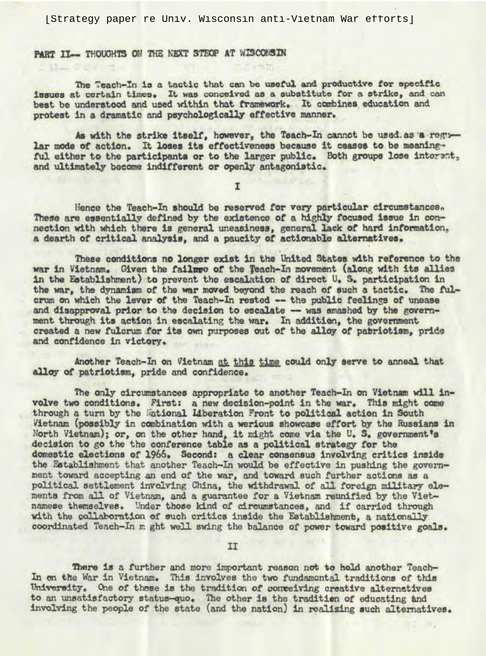[Strategy paper re Univ. Wisconsin anti-Vietnam War efforts]

PART II- THOUGHTS ON THE NEXT STEOP AT WISCONSIN

The Teach-In is a tactic that can be useful and productive for specific issues at certain times. It was conceived as a substitute for a strike, and can best be understood and used within that framework. It combines education and protest in a dramatic and psychologically effective manner.

As with the strike itself, however, the Teach-In cannot be used as a regular mode of action. It loses its effectiveness because it ceases to be meaningful either to the participants or to the larger public. Both groups lose interest, and ultimately become indifferent or openly antagonistic.

Hence the Teach-In should be reserved for very particular circumstances. These are essentially defined by the existence of a highly focused issue in connection with which there is general uneasiness, general lack of hard information, a dearth of critical analysis, and a paucity of actionable alternatives.

These conditions no longer exist in the United States with reference to the war in Vietnam. Given the failure of the Teach-In movement (along with its allies in the Establishment) to prevent the escalation of direct U. S. participation in the war, the dynamism of the war moved beyond the reach of such a tactic. The fulcrum on which the lever of the Teach-In rested -- the public feelings of unease and disapproval prior to the decision to escalate -- was smashed by the government through its action in escalating the war. In addition, the government created a new fulcrum for its own purposes out of the alloy of patriotism, pride and confidence in victory.

Another Teach-In on Vietnam at this time could only serve to anneal that alloy of patriotism, pride and confidence.

The only circumstances appropriate to another Teach-In on Vietnam will involve two conditions. First: a new decision-point in the war. This might come through a turn by the National Liberation Front to political action in South Vietnam (possibly in combination with a werious showcase effort by the Russians in North Vietnam); or, on the other hand, it might come via the U. S. government's decision to go the the conference table as a political strategy for the domestic elections of 1966. Second: a clear consensus involving critics inside the Establishment that another Teach-In would be effective in pushing the government toward accepting an end of the war, and toward such further actions as a political settlement involving China, the withdrawal of all foreign military elements from all of Vietnam, and a guarantee for a Vietnam reunified by the Vietnamese themselves. Under those kind of circumstances, and if carried through with the collaboration of such critics inside the Establishment, a nationally coordinated Teach-In m ght well swing the balance of power toward positive goals.

II

There is a further and more important reason not to hold another Teach-In on the War in Vietnam. This involves the two fundamental traditions of this University. One of these is the tradition of conveiving creative alternatives to an unsatisfactory status-quo. The other is the tradition of educating and involving the people of the state (and the nation) in realizing such alternatives.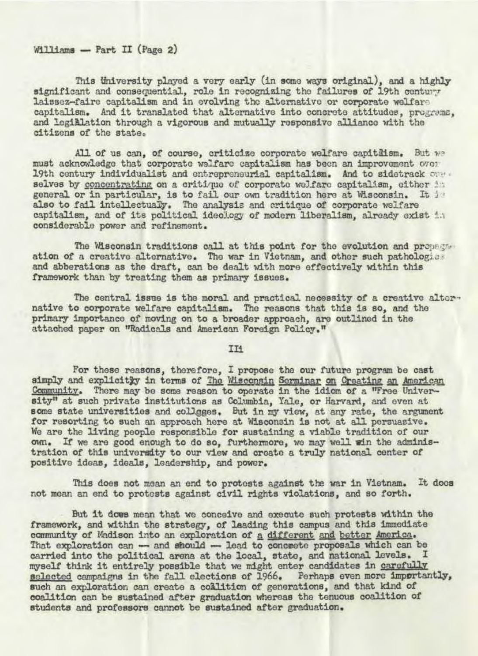## Williams - Part II (Page 2)

This University played a very early (in some ways original), and a highly significant and consequential, role in recognizing the failures of 19th century laissez-faire capitalism and in evolving the alternative or corporate welfare capitalism. And it translated that alternative into concrete attitudes, programs, and legiblation through a vigorous and mutually responsive alliance with the citizens of the state.

All of us can, of course, criticize corporate welfare capitaism. But we must acknowledge that corporate walfare capitalism has been an improvement over 19th century individualist and entrepreneurial capitalism. And to sidetrack one selves by concentrating on a critique of corporate welfare capitalism, either in general or in particular, is to fail our own tradition here at Wisconsin. It is also to fail intellectually. The analysis and critique of corporate welfare capitalism, and of its political ideology of modern liberalism, already exist in considerable power and refinement.

The Wisconsin traditions call at this point for the evolution and propegate ation of a creative alternative. The war in Vietnam, and other such pathologies and abberations as the draft, can be dealt with more effectively within this framework than by treating them as primary issues.

The central issue is the moral and practical necessity of a creative alternative to corporate welfare capitalism. The reasons that this is so, and the primary importance of moving on to a broader approach, are outlined in the attached paper on "Radicals and American Foreign Policy."

II<sub>1</sub>

For these reasons, therefore, I propose the our future program be cast simply and explicity in terms of The Wisconsin Serminar on Creating an American Community. There may be some reason to operate in the idiom of a "Free University" at such private institutions as Columbia, Yale, or Harvard, and even at some state universities and collgges. But in my view, at any rate, the argument for resorting to such an approach here at Wisconsin is not at all persuasive. We are the living people responsible for sustaining a viable tradition of our own. If we are good enough to do so, furthermore, we may well win the administration of this university to our view and create a truly national center of positive ideas, ideals, leadership, and power.

This does not mean an end to protests against the war in Vietnam. It does not mean an end to protests against civil rights violations, and so forth.

But it does mean that we conceive and execute such protests within the framework, and within the strategy, of leading this campus and this immediate community of Madison into an exploration of a different and better America. That exploration can - and should - lead to concrete proposals which can be carried into the political arena at the local, state, and national levels. I myself think it entirely possible that we might enter candidates in carefully selected campaigns in the fall elections of 1966. Perhaps even more importantly, such an exploration can create a collition of generations, and that kind of coalition can be sustained after graduation whereas the tenuous coalition of students and professors cannot be sustained after graduation.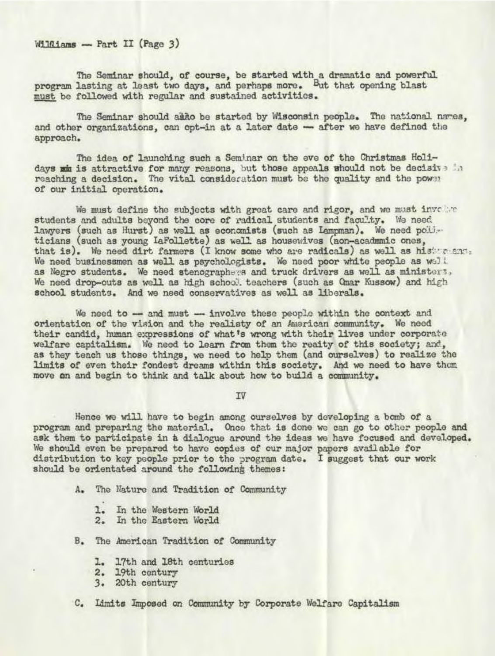$W1101ams - Part II$  (Page 3)

The Seminar should, of course, be started with a dramatic and powerful. program lasting at least two days, and perhaps more. But that opening blast must be followed with regular and sustained activities.

The Seminar should akko be started by Wisconsin people. The national names, and other organizations, can opt-in at a later date - after we have defined the approach,

The idea of launching such a Seminar on the eve of the Christmas Holidays wim is attractive for many reasons, but those appeals whould not be decisive in reaching a decision. The vital consideration must be the quality and the power of our initial operation.

We must define the subjects with great care and rigor, and we must involve students and adults beyond the core of radical students and faculty. We need. lawyers (such as Hurst) as well as economists (such as Lampman). We need politicians (such as young IaFollette) as well as housewives (non-acadumic ones, that is). We need dirt farmers (I know some who are radicals) as well as historicant. We need businessmen as well as psychologists. We need poor white people as well as Negro students. We need stenographers and truck drivers as well as ministers, We need drop-outs as well as high school teachers (such as Qmar Kussow) and high school students. And we need conservatives as well as liberals.

We need to -- and must -- involve these people within the context and orientation of the vision and the realisty of an American community. We need their candid, human expressions of what's wrong with their lives under corporate welfare capitalism. We need to learn from them the reaity of this society; and, as they teach us those things, we need to help them (and ourselves) to realize the limits of even their fondest dreams within this society. And we need to have them move on and begin to think and talk about how to build a community,

IV

Hence wo will have to begin among ourselves by developing a banb of a program and preparing the material. Once that is dono we can go to othor people and ask them to participate in a dialogue around the ideas we have focused and developed. We should even be prepared to have copies of our major papers available for distribution to key people prior to the program date. I suggest that our work should be orientated around the following themes:

- A. The Nature and Tradition of Community
	- 1. In the Western World
	- 2. In the Eastern World
- B. The American Tradition of Community
	- 1. 17th and 18th centuries
	- 2. 19th century
	- 3. 20th century
- C. Limits Imposed on Community by Corporate Welfare Capitalism